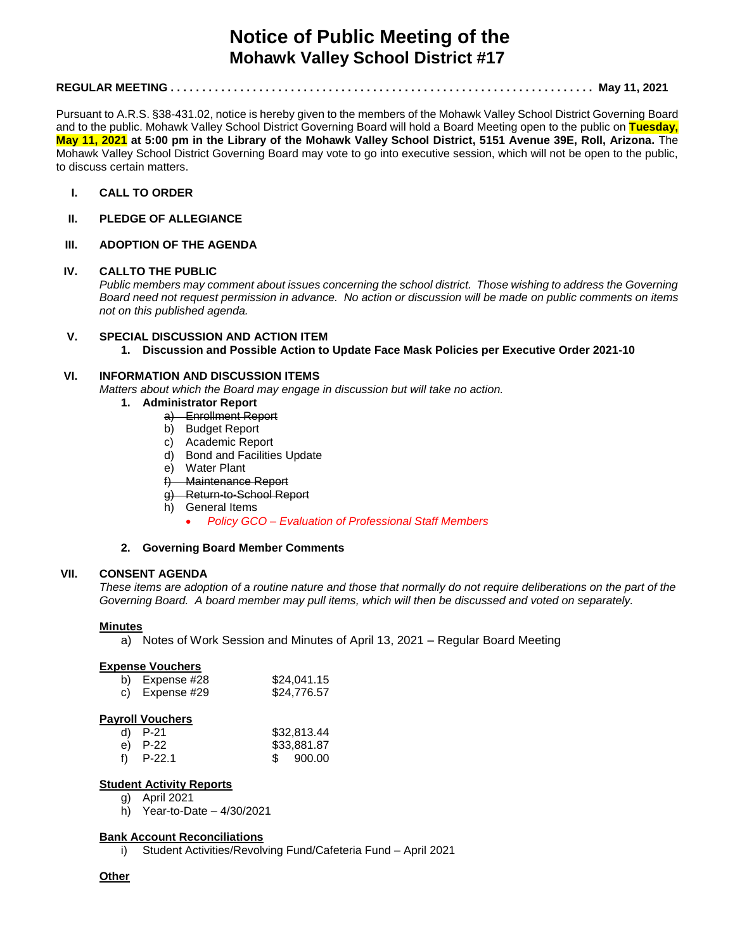# **Notice of Public Meeting of the Mohawk Valley School District #17**

# **REGULAR MEETING . . . . . . . . . . . . . . . . . . . . . . . . . . . . . . . . . . . . . . . . . . . . . . . . . . . . . . . . . . . . . . . . . . . May 11, 2021**

Pursuant to A.R.S. §38-431.02, notice is hereby given to the members of the Mohawk Valley School District Governing Board and to the public. Mohawk Valley School District Governing Board will hold a Board Meeting open to the public on **Tuesday, May 11, 2021 at 5:00 pm in the Library of the Mohawk Valley School District, 5151 Avenue 39E, Roll, Arizona.** The Mohawk Valley School District Governing Board may vote to go into executive session, which will not be open to the public, to discuss certain matters.

- **I. CALL TO ORDER**
- **II. PLEDGE OF ALLEGIANCE**

## **III. ADOPTION OF THE AGENDA**

## **IV. CALLTO THE PUBLIC**

*Public members may comment about issues concerning the school district. Those wishing to address the Governing Board need not request permission in advance. No action or discussion will be made on public comments on items not on this published agenda.*

## **V. SPECIAL DISCUSSION AND ACTION ITEM 1. Discussion and Possible Action to Update Face Mask Policies per Executive Order 2021-10**

# **VI. INFORMATION AND DISCUSSION ITEMS**

*Matters about which the Board may engage in discussion but will take no action.* 

- **1. Administrator Report**
	- a) Enrollment Report
	- b) Budget Report
	- c) Academic Report
	- d) Bond and Facilities Update
	- e) Water Plant
	- f) Maintenance Report
	- g) Return-to-School Report
	- h) General Items
		- *Policy GCO – Evaluation of Professional Staff Members*

# **2. Governing Board Member Comments**

#### **VII. CONSENT AGENDA**

*These items are adoption of a routine nature and those that normally do not require deliberations on the part of the Governing Board. A board member may pull items, which will then be discussed and voted on separately.*

#### **Minutes**

a) Notes of Work Session and Minutes of April 13, 2021 – Regular Board Meeting

#### **Expense Vouchers**

| b) Expense $#28$ | \$24,041.15 |
|------------------|-------------|
| c) Expense $#29$ | \$24,776.57 |

#### **Payroll Vouchers**

| d) $P-21$   | \$32,813.44 |
|-------------|-------------|
| e) P-22     | \$33,881.87 |
| f) $P-22.1$ | \$ 900.00   |

#### **Student Activity Reports**

- g) April 2021
- h) Year-to-Date 4/30/2021

#### **Bank Account Reconciliations**

i) Student Activities/Revolving Fund/Cafeteria Fund – April 2021